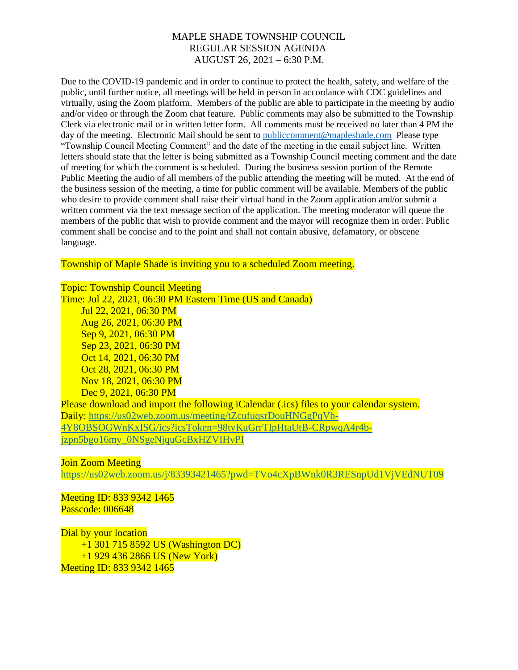Due to the COVID-19 pandemic and in order to continue to protect the health, safety, and welfare of the public, until further notice, all meetings will be held in person in accordance with CDC guidelines and virtually, using the Zoom platform. Members of the public are able to participate in the meeting by audio and/or video or through the Zoom chat feature. Public comments may also be submitted to the Township Clerk via electronic mail or in written letter form. All comments must be received no later than 4 PM the day of the meeting. Electronic Mail should be sent to [publiccomment@mapleshade.com](mailto:publiccomment@mapleshade.com) Please type "Township Council Meeting Comment" and the date of the meeting in the email subject line. Written letters should state that the letter is being submitted as a Township Council meeting comment and the date of meeting for which the comment is scheduled. During the business session portion of the Remote Public Meeting the audio of all members of the public attending the meeting will be muted. At the end of the business session of the meeting, a time for public comment will be available. Members of the public who desire to provide comment shall raise their virtual hand in the Zoom application and/or submit a written comment via the text message section of the application. The meeting moderator will queue the members of the public that wish to provide comment and the mayor will recognize them in order. Public comment shall be concise and to the point and shall not contain abusive, defamatory, or obscene language.

Township of Maple Shade is inviting you to a scheduled Zoom meeting.

Topic: Township Council Meeting

Time: Jul 22, 2021, 06:30 PM Eastern Time (US and Canada) Jul 22, 2021, 06:30 PM Aug 26, 2021, 06:30 PM Sep 9, 2021, 06:30 PM Sep 23, 2021, 06:30 PM Oct 14, 2021, 06:30 PM Oct 28, 2021, 06:30 PM Nov 18, 2021, 06:30 PM Dec 9, 2021, 06:30 PM Please download and import the following iCalendar (.jcs) files to your calendar system. Daily: [https://us02web.zoom.us/meeting/tZcufuqsrDouHNGgPqVh-](https://us02web.zoom.us/meeting/tZcufuqsrDouHNGgPqVh-4Y8OBSOGWnKxISG/ics?icsToken=98tyKuGrrTIpHtaUtB-CRpwqA4r4b-jzpn5bgo16my_0NSgeNjquGcBxHZVIHvPI)[4Y8OBSOGWnKxISG/ics?icsToken=98tyKuGrrTIpHtaUtB-CRpwqA4r4b](https://us02web.zoom.us/meeting/tZcufuqsrDouHNGgPqVh-4Y8OBSOGWnKxISG/ics?icsToken=98tyKuGrrTIpHtaUtB-CRpwqA4r4b-jzpn5bgo16my_0NSgeNjquGcBxHZVIHvPI)[jzpn5bgo16my\\_0NSgeNjquGcBxHZVIHvPI](https://us02web.zoom.us/meeting/tZcufuqsrDouHNGgPqVh-4Y8OBSOGWnKxISG/ics?icsToken=98tyKuGrrTIpHtaUtB-CRpwqA4r4b-jzpn5bgo16my_0NSgeNjquGcBxHZVIHvPI)

Join Zoom Meeting

<https://us02web.zoom.us/j/83393421465?pwd=TVo4cXpBWnk0R3RESnpUd1VjVEdNUT09>

Meeting ID: 833 9342 1465 Passcode: 006648

Dial by your location +1 301 715 8592 US (Washington DC) +1 929 436 2866 US (New York) Meeting ID: 833 9342 1465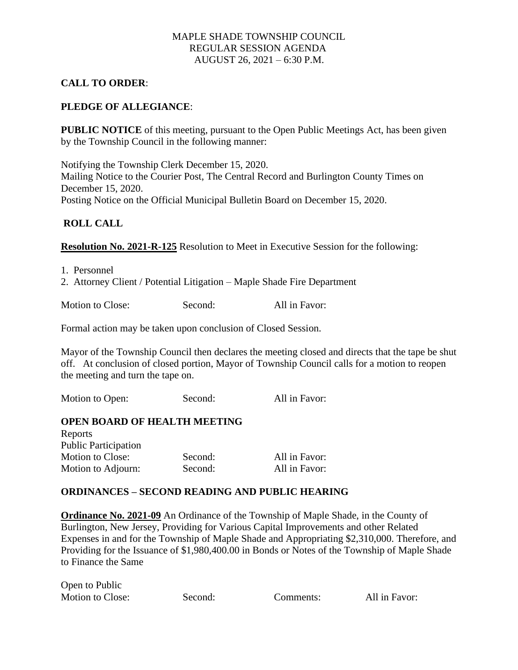## **CALL TO ORDER**:

### **PLEDGE OF ALLEGIANCE**:

**PUBLIC NOTICE** of this meeting, pursuant to the Open Public Meetings Act, has been given by the Township Council in the following manner:

Notifying the Township Clerk December 15, 2020. Mailing Notice to the Courier Post, The Central Record and Burlington County Times on December 15, 2020. Posting Notice on the Official Municipal Bulletin Board on December 15, 2020.

#### **ROLL CALL**

**Resolution No. 2021-R-125** Resolution to Meet in Executive Session for the following:

1. Personnel

2. Attorney Client / Potential Litigation – Maple Shade Fire Department

Motion to Close: Second: All in Favor:

Formal action may be taken upon conclusion of Closed Session.

Mayor of the Township Council then declares the meeting closed and directs that the tape be shut off. At conclusion of closed portion, Mayor of Township Council calls for a motion to reopen the meeting and turn the tape on.

Motion to Open: Second: All in Favor:

#### **OPEN BOARD OF HEALTH MEETING**

| Reports                     |         |               |
|-----------------------------|---------|---------------|
| <b>Public Participation</b> |         |               |
| Motion to Close:            | Second: | All in Favor: |
| Motion to Adjourn:          | Second: | All in Favor: |

#### **ORDINANCES – SECOND READING AND PUBLIC HEARING**

**Ordinance No. 2021-09** An Ordinance of the Township of Maple Shade, in the County of Burlington, New Jersey, Providing for Various Capital Improvements and other Related Expenses in and for the Township of Maple Shade and Appropriating \$2,310,000. Therefore, and Providing for the Issuance of \$1,980,400.00 in Bonds or Notes of the Township of Maple Shade to Finance the Same

Open to Public Motion to Close: Second: Comments: All in Favor: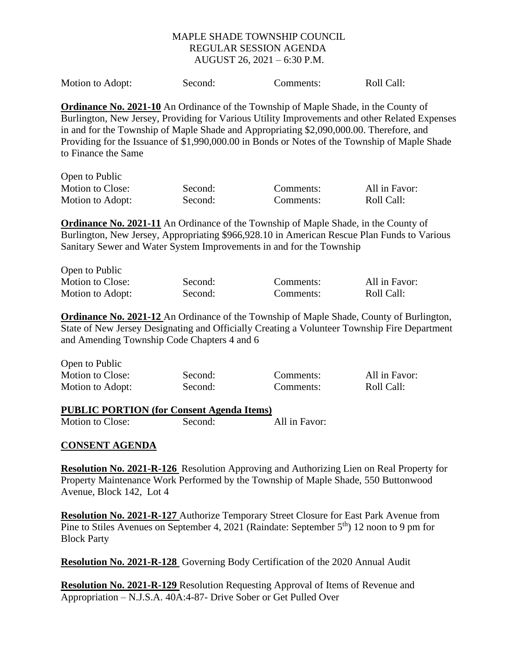| Motion to Adopt:<br>Second: | Comments: | Roll Call: |
|-----------------------------|-----------|------------|
|-----------------------------|-----------|------------|

**Ordinance No. 2021-10** An Ordinance of the Township of Maple Shade, in the County of Burlington, New Jersey, Providing for Various Utility Improvements and other Related Expenses in and for the Township of Maple Shade and Appropriating \$2,090,000.00. Therefore, and Providing for the Issuance of \$1,990,000.00 in Bonds or Notes of the Township of Maple Shade to Finance the Same

| Open to Public   |         |           |               |
|------------------|---------|-----------|---------------|
| Motion to Close: | Second: | Comments: | All in Favor: |
| Motion to Adopt: | Second: | Comments: | Roll Call:    |

**Ordinance No. 2021-11** An Ordinance of the Township of Maple Shade, in the County of Burlington, New Jersey, Appropriating \$966,928.10 in American Rescue Plan Funds to Various Sanitary Sewer and Water System Improvements in and for the Township

| Open to Public   |         |           |               |
|------------------|---------|-----------|---------------|
| Motion to Close: | Second: | Comments: | All in Favor: |
| Motion to Adopt: | Second: | Comments: | Roll Call:    |

**Ordinance No. 2021-12** An Ordinance of the Township of Maple Shade, County of Burlington, State of New Jersey Designating and Officially Creating a Volunteer Township Fire Department and Amending Township Code Chapters 4 and 6

| Open to Public   |         |           |               |
|------------------|---------|-----------|---------------|
| Motion to Close: | Second: | Comments: | All in Favor: |
| Motion to Adopt: | Second: | Comments: | Roll Call:    |

## **PUBLIC PORTION (for Consent Agenda Items)**

Motion to Close: Second: All in Favor:

#### **CONSENT AGENDA**

 $\sum_{i=1}^{n}$ 

**Resolution No. 2021-R-126** Resolution Approving and Authorizing Lien on Real Property for Property Maintenance Work Performed by the Township of Maple Shade, 550 Buttonwood Avenue, Block 142, Lot 4

**Resolution No. 2021-R-127** Authorize Temporary Street Closure for East Park Avenue from Pine to Stiles Avenues on September 4, 2021 (Raindate: September 5<sup>th</sup>) 12 noon to 9 pm for Block Party

**Resolution No. 2021-R-128** Governing Body Certification of the 2020 Annual Audit

**Resolution No. 2021-R-129** Resolution Requesting Approval of Items of Revenue and Appropriation – N.J.S.A. 40A:4-87- Drive Sober or Get Pulled Over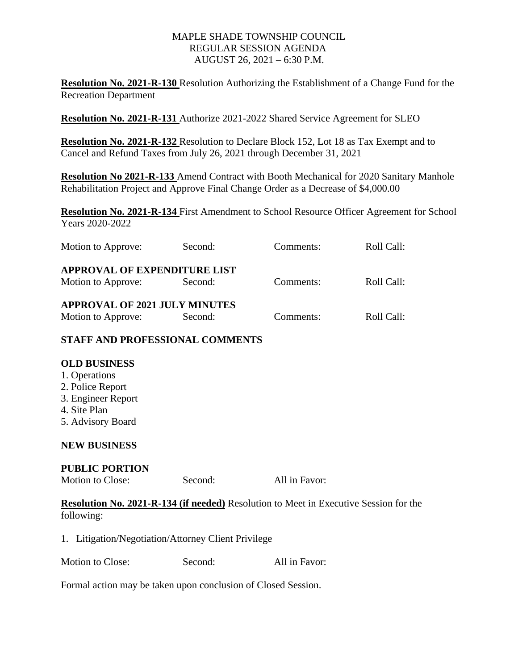**Resolution No. 2021-R-130** Resolution Authorizing the Establishment of a Change Fund for the Recreation Department

**Resolution No. 2021-R-131** Authorize 2021-2022 Shared Service Agreement for SLEO

**Resolution No. 2021-R-132** Resolution to Declare Block 152, Lot 18 as Tax Exempt and to Cancel and Refund Taxes from July 26, 2021 through December 31, 2021

**Resolution No 2021-R-133** Amend Contract with Booth Mechanical for 2020 Sanitary Manhole Rehabilitation Project and Approve Final Change Order as a Decrease of \$4,000.00

**Resolution No. 2021-R-134** First Amendment to School Resource Officer Agreement for School Years 2020-2022

| Motion to Approve:                   | Second: | Comments: | Roll Call: |
|--------------------------------------|---------|-----------|------------|
| <b>APPROVAL OF EXPENDITURE LIST</b>  |         |           |            |
| Motion to Approve:                   | Second: | Comments: | Roll Call: |
| <b>APPROVAL OF 2021 JULY MINUTES</b> |         |           |            |
| Motion to Approve:                   | Second: | Comments: | Roll Call: |

# **STAFF AND PROFESSIONAL COMMENTS**

## **OLD BUSINESS**

- 1. Operations 2. Police Report
- 3. Engineer Report
- 4. Site Plan
- 5. Advisory Board

## **NEW BUSINESS**

## **PUBLIC PORTION**

Motion to Close: Second: All in Favor:

**Resolution No. 2021-R-134 (if needed)** Resolution to Meet in Executive Session for the following:

1. Litigation/Negotiation/Attorney Client Privilege

Motion to Close: Second: All in Favor:

Formal action may be taken upon conclusion of Closed Session.